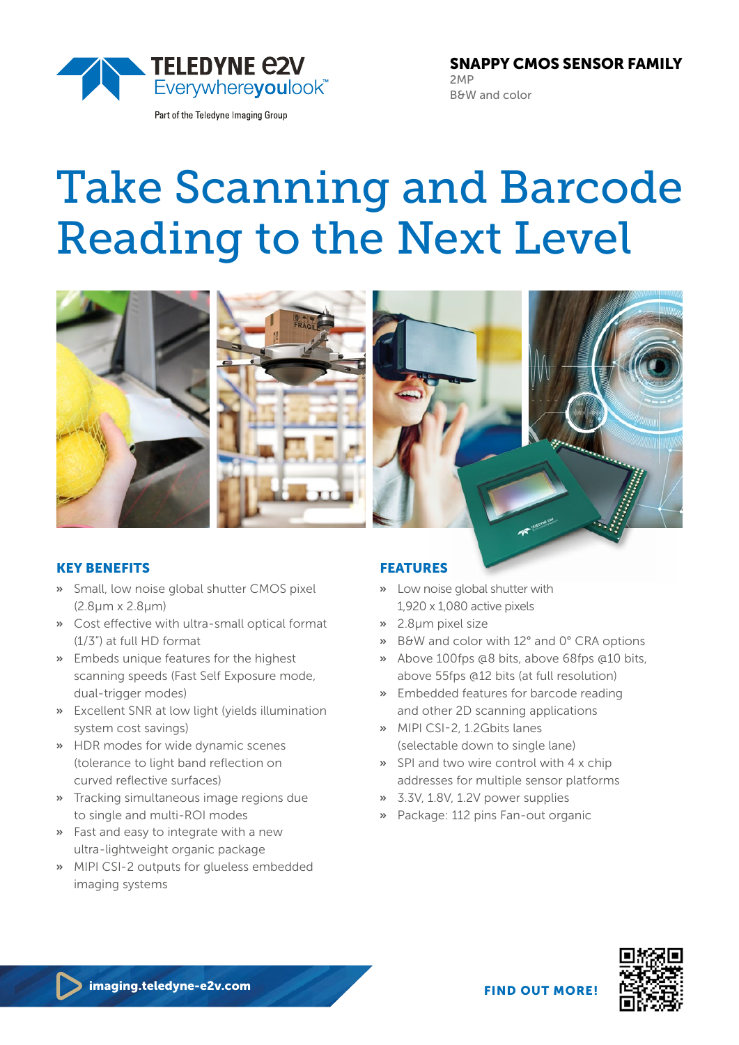

Part of the Teledyne Imaging Group

SNAPPY CMOS SENSOR FAMILY 2MP B&W and color

# Take Scanning and Barcode Reading to the Next Level



## KEY BENEFITS

- **»** Small, low noise global shutter CMOS pixel (2.8μm x 2.8μm)
- **»** Cost effective with ultra-small optical format (1/3") at full HD format
- **»** Embeds unique features for the highest scanning speeds (Fast Self Exposure mode, dual-trigger modes)
- **»** Excellent SNR at low light (yields illumination system cost savings)
- **»** HDR modes for wide dynamic scenes (tolerance to light band reflection on curved reflective surfaces)
- **»** Tracking simultaneous image regions due to single and multi-ROI modes
- **»** Fast and easy to integrate with a new ultra-lightweight organic package
- **»** MIPI CSI-2 outputs for glueless embedded imaging systems

## FEATURES

- **»** Low noise global shutter with 1,920 x 1,080 active pixels
- **»** 2.8µm pixel size
- **»** B&W and color with 12° and 0° CRA options
- **»** Above 100fps @8 bits, above 68fps @10 bits, above 55fps @12 bits (at full resolution)
- **»** Embedded features for barcode reading and other 2D scanning applications
- **»** MIPI CSI-2, 1.2Gbits lanes (selectable down to single lane)
- **»** SPI and two wire control with 4 x chip addresses for multiple sensor platforms
- **»** 3.3V, 1.8V, 1.2V power supplies
- **»** Package: 112 pins Fan-out organic



FIND OUT MORE!